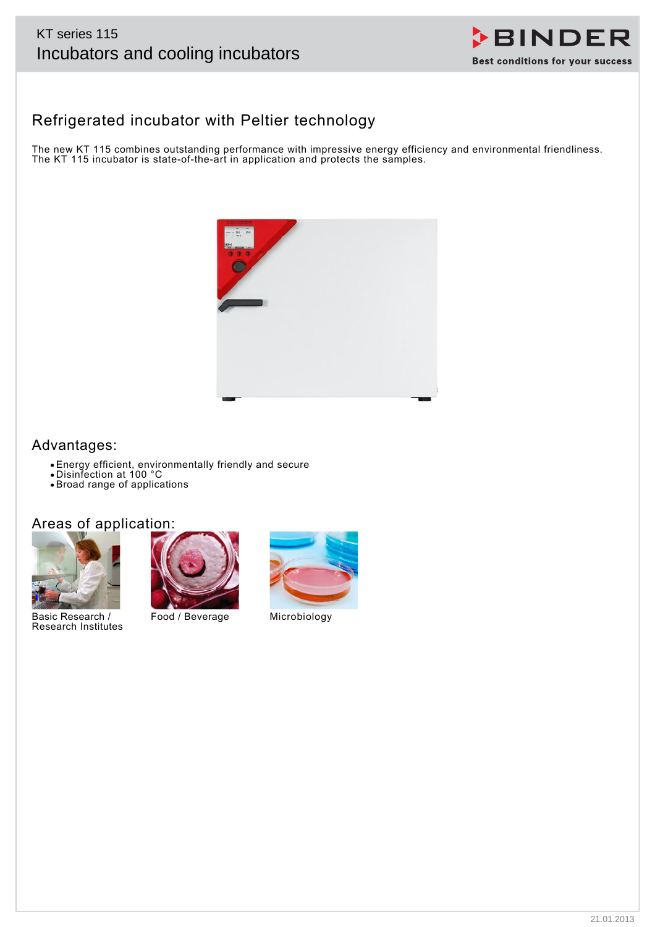# KT series 115



# Refrigerated incubator with Peltier technology

The new KT 115 combines outstanding performance with impressive energy efficiency and environmental friendliness. The KT 115 incubator is state-of-the-art in application and protects the samples.



# Advantages:

- Energy efficient, environmentally friendly and secure
- Disinfection at 100 °C
- Broad range of applications

# Areas of application:



Basic Research / Research Institutes



Food / Beverage Microbiology

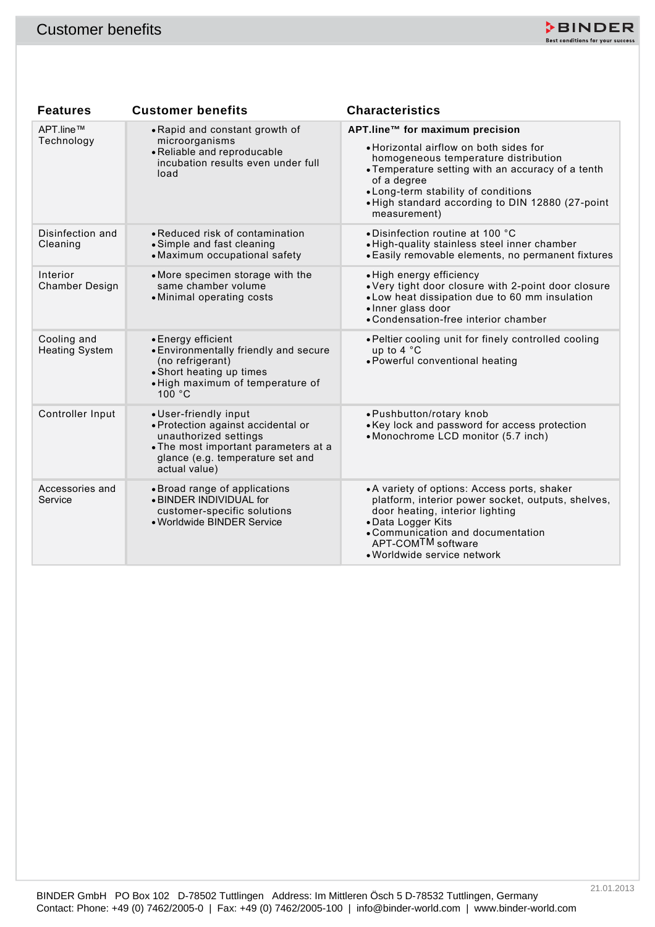

| <b>Customer benefits</b>             |                                                                                                                                                                                   | DBINDER<br>Best conditions for your success                                                                                                                                                                                                                                                      |
|--------------------------------------|-----------------------------------------------------------------------------------------------------------------------------------------------------------------------------------|--------------------------------------------------------------------------------------------------------------------------------------------------------------------------------------------------------------------------------------------------------------------------------------------------|
|                                      |                                                                                                                                                                                   |                                                                                                                                                                                                                                                                                                  |
| <b>Features</b>                      | <b>Customer benefits</b>                                                                                                                                                          | <b>Characteristics</b>                                                                                                                                                                                                                                                                           |
| APT.line™<br>Technology              | • Rapid and constant growth of<br>microorganisms<br>• Reliable and reproducable<br>incubation results even under full<br>load                                                     | APT.line™ for maximum precision<br>• Horizontal airflow on both sides for<br>homogeneous temperature distribution<br>• Temperature setting with an accuracy of a tenth<br>of a degree<br>• Long-term stability of conditions<br>. High standard according to DIN 12880 (27-point<br>measurement) |
| Disinfection and<br>Cleaning         | • Reduced risk of contamination<br>• Simple and fast cleaning<br>• Maximum occupational safety                                                                                    | • Disinfection routine at 100 °C<br>· High-quality stainless steel inner chamber<br>• Easily removable elements, no permanent fixtures                                                                                                                                                           |
| Interior<br><b>Chamber Design</b>    | • More specimen storage with the<br>same chamber volume<br>• Minimal operating costs                                                                                              | • High energy efficiency<br>. Very tight door closure with 2-point door closure<br>• Low heat dissipation due to 60 mm insulation<br>· Inner glass door<br>• Condensation-free interior chamber                                                                                                  |
| Cooling and<br><b>Heating System</b> | • Energy efficient<br>• Environmentally friendly and secure<br>(no refrigerant)<br>• Short heating up times<br>• High maximum of temperature of<br>100 °C                         | . Peltier cooling unit for finely controlled cooling<br>up to 4 °C<br>• Powerful conventional heating                                                                                                                                                                                            |
| Controller Input                     | • User-friendly input<br>• Protection against accidental or<br>unauthorized settings<br>• The most important parameters at a<br>glance (e.g. temperature set and<br>actual value) | • Pushbutton/rotary knob<br>• Key lock and password for access protection<br>• Monochrome LCD monitor (5.7 inch)                                                                                                                                                                                 |
| Accessories and<br>Service           | • Broad range of applications<br>. BINDER INDIVIDUAL for<br>customer-specific solutions<br>• Worldwide BINDER Service                                                             | • A variety of options: Access ports, shaker<br>platform, interior power socket, outputs, shelves,<br>door heating, interior lighting<br>• Data Logger Kits<br>• Communication and documentation<br>APT-COM <sup>TM</sup> software<br>· Worldwide service network                                |
|                                      |                                                                                                                                                                                   |                                                                                                                                                                                                                                                                                                  |
|                                      |                                                                                                                                                                                   |                                                                                                                                                                                                                                                                                                  |
|                                      |                                                                                                                                                                                   |                                                                                                                                                                                                                                                                                                  |
|                                      | BINDER GmbH PO Box 102 D-78502 Tuttlingen Address: Im Mittleren Ösch 5 D-78532 Tuttlingen, Germany                                                                                | 21.01.2013<br>Contact: Phone: +49 (0) 7462/2005-0   Fax: +49 (0) 7462/2005-100   info@binder-world.com   www.binder-world.com                                                                                                                                                                    |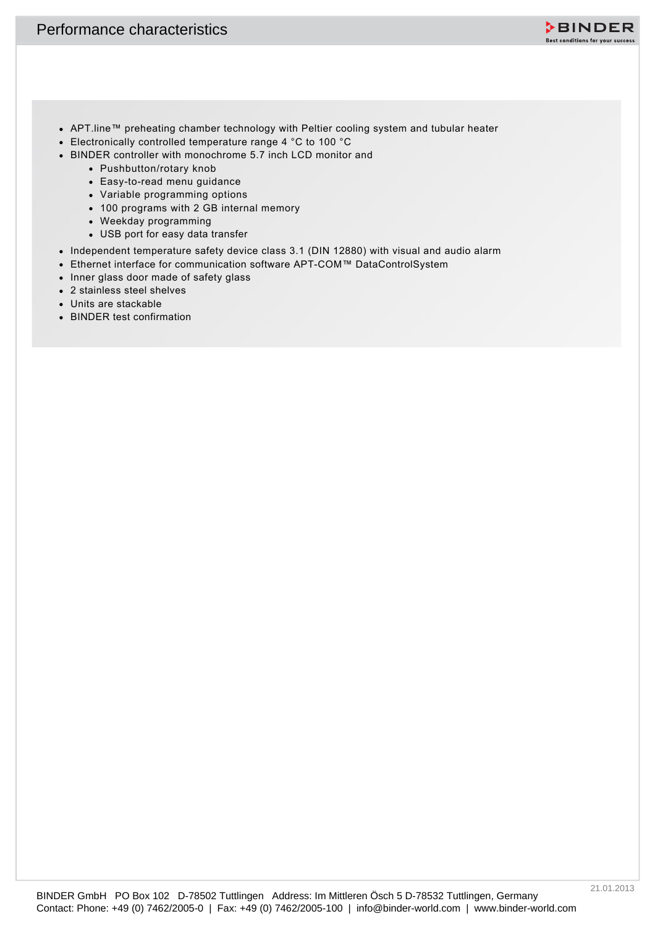

- APT.line™ preheating chamber technology with Peltier cooling system and tubular heater
- Electronically controlled temperature range 4 °C to 100 °C
- BINDER controller with monochrome 5.7 inch LCD monitor and
	- Pushbutton/rotary knob
	- Easy-to-read menu guidance
	- Variable programming options
	- 100 programs with 2 GB internal memory
	- Weekday programming
	- USB port for easy data transfer
- Independent temperature safety device class 3.1 (DIN 12880) with visual and audio alarm
- Ethernet interface for communication software APT-COM™ DataControlSystem
- Inner glass door made of safety glass
- 2 stainless steel shelves
- Units are stackable
- BINDER test confirmation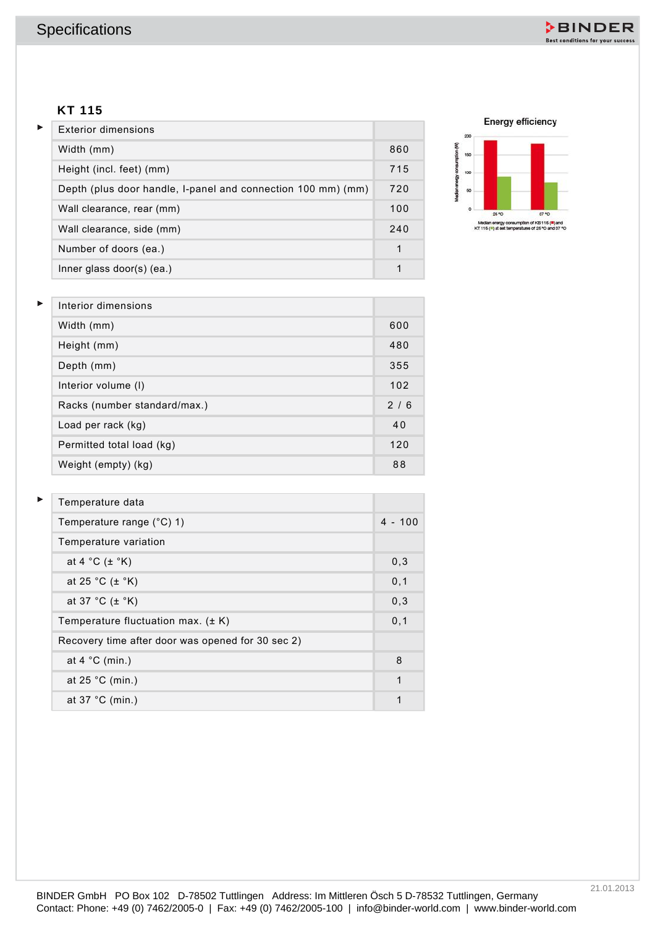

#### **KT 115**

| Exterior dimensions                                          |     |
|--------------------------------------------------------------|-----|
| Width (mm)                                                   | 860 |
| Height (incl. feet) (mm)                                     | 715 |
| Depth (plus door handle, I-panel and connection 100 mm) (mm) | 720 |
| Wall clearance, rear (mm)                                    | 100 |
| Wall clearance, side (mm)                                    | 240 |
| Number of doors (ea.)                                        | 1   |
| Inner glass door(s) $(ea.)$                                  |     |



| Interior dimensions          |     |
|------------------------------|-----|
| Width (mm)                   | 600 |
| Height (mm)                  | 480 |
| Depth (mm)                   | 355 |
| Interior volume (I)          | 102 |
| Racks (number standard/max.) | 2/6 |
| Load per rack (kg)           | 40  |
| Permitted total load (kg)    | 120 |
| Weight (empty) (kg)          | 88  |

| <b>KT 115</b>                                                |              | <b>Energy efficiency</b>                                                       |
|--------------------------------------------------------------|--------------|--------------------------------------------------------------------------------|
| <b>Exterior dimensions</b>                                   |              | 200                                                                            |
| Width (mm)                                                   | 860          | Median energy consumption (W)<br>160                                           |
| Height (incl. feet) (mm)                                     | 715          | 100                                                                            |
| Depth (plus door handle, I-panel and connection 100 mm) (mm) | 720          | 60                                                                             |
| Wall clearance, rear (mm)                                    | 100          | ø<br>26 <sup>4</sup> O<br>87 °C<br>Median energy consumption of KB 115 (3) and |
| Wall clearance, side (mm)                                    | 240          | KT 116 (") at est temperatures of 26 °O and 87 °O                              |
| Number of doors (ea.)                                        | $\mathbf{1}$ |                                                                                |
| Inner glass door(s) (ea.)                                    | $\mathbf{1}$ |                                                                                |
| Interior dimensions                                          |              |                                                                                |
| Width (mm)                                                   | 600          |                                                                                |
| Height (mm)                                                  | 480          |                                                                                |
| Depth (mm)                                                   | 355          |                                                                                |
| Interior volume (I)                                          | 102          |                                                                                |
| Racks (number standard/max.)                                 | 2/6          |                                                                                |
| Load per rack (kg)                                           | 40           |                                                                                |
| Permitted total load (kg)                                    | 120          |                                                                                |
| Weight (empty) (kg)                                          | 88           |                                                                                |
| Temperature data                                             |              |                                                                                |
| Temperature range (°C) 1)                                    | $4 - 100$    |                                                                                |
| Temperature variation                                        |              |                                                                                |
| at 4 $^{\circ}$ C ( $\pm$ $^{\circ}$ K)                      | 0,3          |                                                                                |
| at 25 °C $(\pm$ °K)                                          | 0,1          |                                                                                |
| at 37 °C $(\pm$ °K)                                          | 0,3          |                                                                                |
| Temperature fluctuation max. (± K)                           | 0,1          |                                                                                |
| Recovery time after door was opened for 30 sec 2)            |              |                                                                                |
| at $4 °C$ (min.)                                             | $\bf 8$      |                                                                                |
| at 25 $°C$ (min.)                                            | $\mathbf{1}$ |                                                                                |
| at 37 °C (min.)                                              | $\mathbf{1}$ |                                                                                |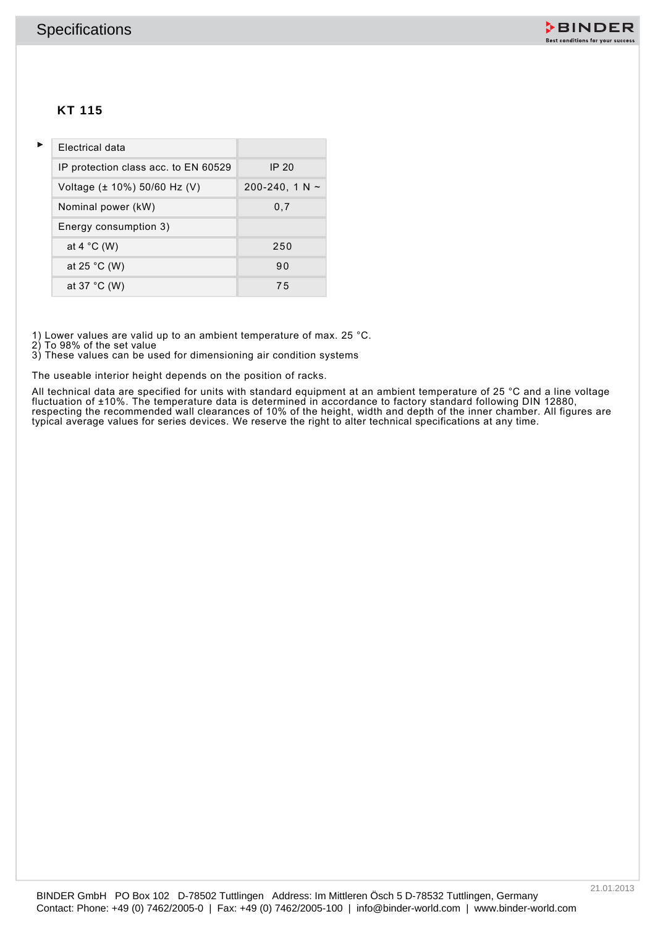

## **KT 115**

|   | <b>Specifications</b>                |                     |                                                                                                                                                                                                                       | ≯BINDER<br>Best conditions for your success |
|---|--------------------------------------|---------------------|-----------------------------------------------------------------------------------------------------------------------------------------------------------------------------------------------------------------------|---------------------------------------------|
|   | <b>KT 115</b>                        |                     |                                                                                                                                                                                                                       |                                             |
| Þ | Electrical data                      |                     |                                                                                                                                                                                                                       |                                             |
|   | IP protection class acc. to EN 60529 | <b>IP 20</b>        |                                                                                                                                                                                                                       |                                             |
|   | Voltage (± 10%) 50/60 Hz (V)         | 200-240, 1 N $\sim$ |                                                                                                                                                                                                                       |                                             |
|   | Nominal power (kW)                   | 0,7                 |                                                                                                                                                                                                                       |                                             |
|   | Energy consumption 3)                |                     |                                                                                                                                                                                                                       |                                             |
|   | at 4 $^{\circ}$ C (W)                | 250                 |                                                                                                                                                                                                                       |                                             |
|   | at 25 $^{\circ}$ C (W)               | 90                  |                                                                                                                                                                                                                       |                                             |
|   | at 37 °C (W)                         | 75                  |                                                                                                                                                                                                                       |                                             |
|   |                                      |                     |                                                                                                                                                                                                                       |                                             |
|   |                                      |                     |                                                                                                                                                                                                                       |                                             |
|   |                                      |                     | BINDER GmbH PO Box 102 D-78502 Tuttlingen Address: Im Mittleren Ösch 5 D-78532 Tuttlingen, Germany<br>Contact: Phone: +49 (0) 7462/2005-0   Fax: +49 (0) 7462/2005-100   info@binder-world.com   www.binder-world.com | 21.01.2013                                  |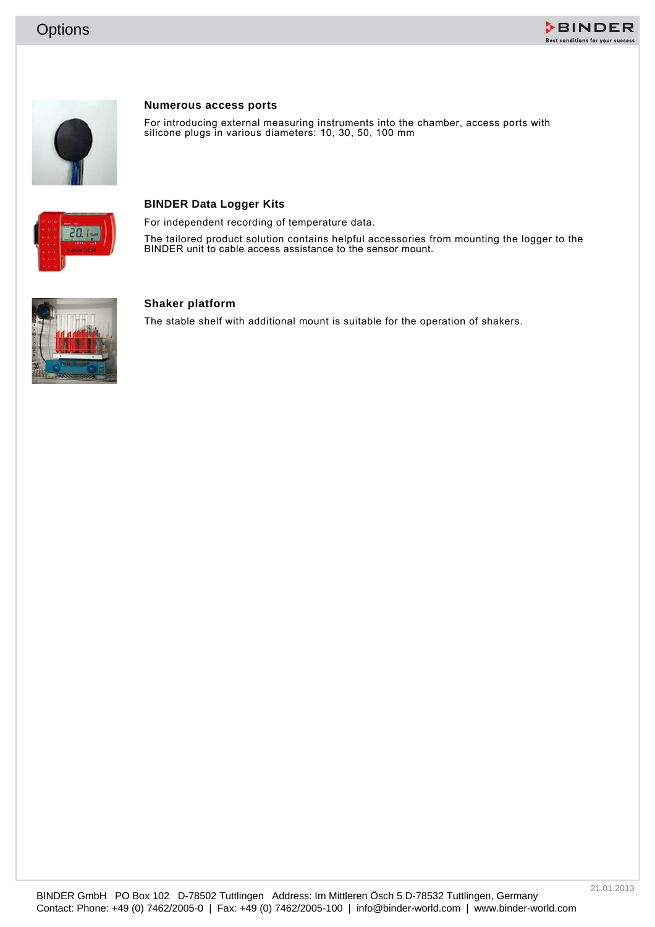





#### **Numerous access ports**

For introducing external measuring instruments into the chamber, access ports with silicone plugs in various diameters: 10, 30, 50, 100 mm



#### **BINDER Data Logger Kits**

For independent recording of temperature data.

The tailored product solution contains helpful accessories from mounting the logger to the BINDER unit to cable access assistance to the sensor mount.



#### **Shaker platform**

The stable shelf with additional mount is suitable for the operation of shakers.